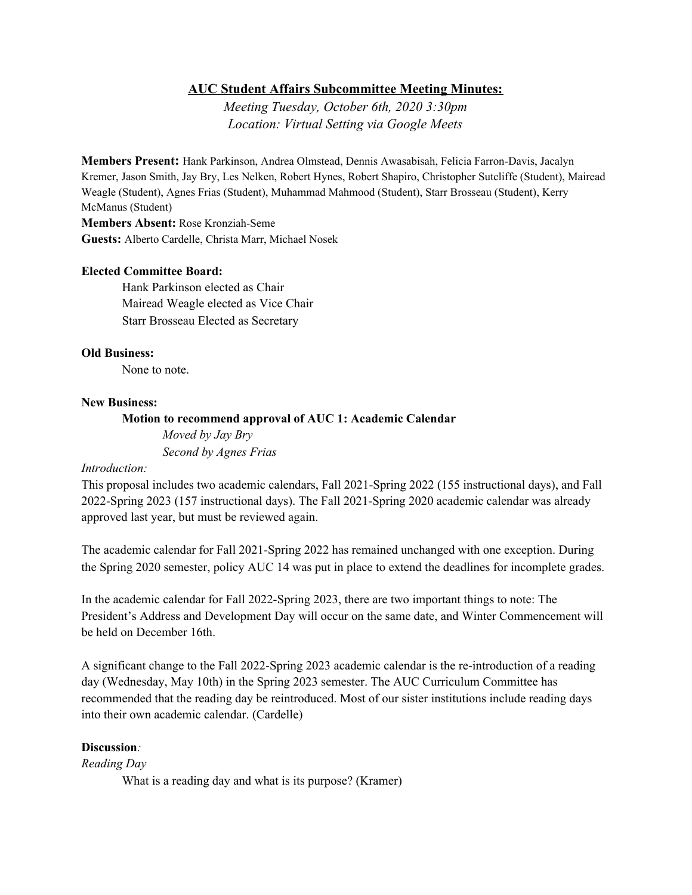# **AUC Student Affairs Subcommittee Meeting Minutes:**

*Meeting Tuesday, October 6th, 2020 3:30pm Location: Virtual Setting via Google Meets*

**Members Present:** Hank Parkinson, Andrea Olmstead, Dennis Awasabisah, Felicia Farron-Davis, Jacalyn Kremer, Jason Smith, Jay Bry, Les Nelken, Robert Hynes, Robert Shapiro, Christopher Sutcliffe (Student), Mairead Weagle (Student), Agnes Frias (Student), Muhammad Mahmood (Student), Starr Brosseau (Student), Kerry McManus (Student)

**Members Absent:** Rose Kronziah-Seme **Guests:** Alberto Cardelle, Christa Marr, Michael Nosek

## **Elected Committee Board:**

Hank Parkinson elected as Chair Mairead Weagle elected as Vice Chair Starr Brosseau Elected as Secretary

#### **Old Business:**

None to note.

#### **New Business:**

**Motion to recommend approval of AUC 1: Academic Calendar**

*Moved by Jay Bry Second by Agnes Frias*

## *Introduction:*

This proposal includes two academic calendars, Fall 2021-Spring 2022 (155 instructional days), and Fall 2022-Spring 2023 (157 instructional days). The Fall 2021-Spring 2020 academic calendar was already approved last year, but must be reviewed again.

The academic calendar for Fall 2021-Spring 2022 has remained unchanged with one exception. During the Spring 2020 semester, policy AUC 14 was put in place to extend the deadlines for incomplete grades.

In the academic calendar for Fall 2022-Spring 2023, there are two important things to note: The President's Address and Development Day will occur on the same date, and Winter Commencement will be held on December 16th.

A significant change to the Fall 2022-Spring 2023 academic calendar is the re-introduction of a reading day (Wednesday, May 10th) in the Spring 2023 semester. The AUC Curriculum Committee has recommended that the reading day be reintroduced. Most of our sister institutions include reading days into their own academic calendar. (Cardelle)

# **Discussion***:*

*Reading Day*

What is a reading day and what is its purpose? (Kramer)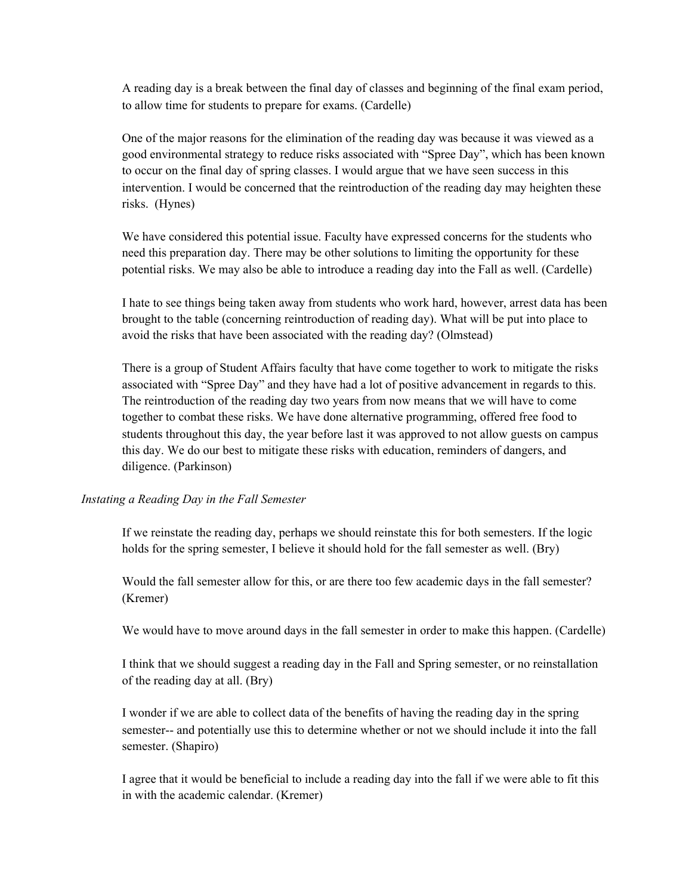A reading day is a break between the final day of classes and beginning of the final exam period, to allow time for students to prepare for exams. (Cardelle)

One of the major reasons for the elimination of the reading day was because it was viewed as a good environmental strategy to reduce risks associated with "Spree Day", which has been known to occur on the final day of spring classes. I would argue that we have seen success in this intervention. I would be concerned that the reintroduction of the reading day may heighten these risks. (Hynes)

We have considered this potential issue. Faculty have expressed concerns for the students who need this preparation day. There may be other solutions to limiting the opportunity for these potential risks. We may also be able to introduce a reading day into the Fall as well. (Cardelle)

I hate to see things being taken away from students who work hard, however, arrest data has been brought to the table (concerning reintroduction of reading day). What will be put into place to avoid the risks that have been associated with the reading day? (Olmstead)

There is a group of Student Affairs faculty that have come together to work to mitigate the risks associated with "Spree Day" and they have had a lot of positive advancement in regards to this. The reintroduction of the reading day two years from now means that we will have to come together to combat these risks. We have done alternative programming, offered free food to students throughout this day, the year before last it was approved to not allow guests on campus this day. We do our best to mitigate these risks with education, reminders of dangers, and diligence. (Parkinson)

## *Instating a Reading Day in the Fall Semester*

If we reinstate the reading day, perhaps we should reinstate this for both semesters. If the logic holds for the spring semester, I believe it should hold for the fall semester as well. (Bry)

Would the fall semester allow for this, or are there too few academic days in the fall semester? (Kremer)

We would have to move around days in the fall semester in order to make this happen. (Cardelle)

I think that we should suggest a reading day in the Fall and Spring semester, or no reinstallation of the reading day at all. (Bry)

I wonder if we are able to collect data of the benefits of having the reading day in the spring semester-- and potentially use this to determine whether or not we should include it into the fall semester. (Shapiro)

I agree that it would be beneficial to include a reading day into the fall if we were able to fit this in with the academic calendar. (Kremer)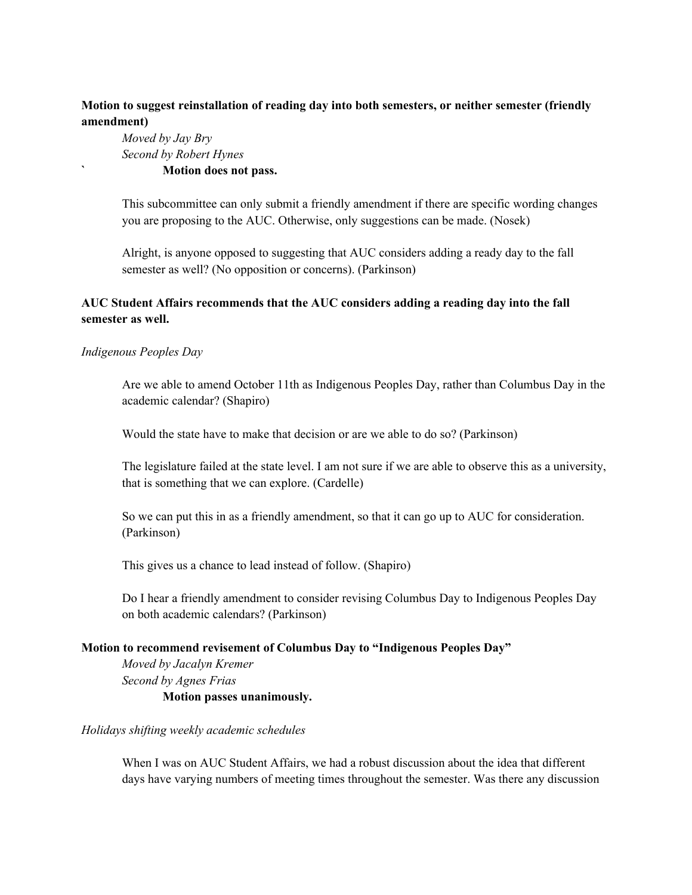# **Motion to suggest reinstallation of reading day into both semesters, or neither semester (friendly amendment)**

*Moved by Jay Bry Second by Robert Hynes* **` Motion does not pass.**

This subcommittee can only submit a friendly amendment if there are specific wording changes you are proposing to the AUC. Otherwise, only suggestions can be made. (Nosek)

Alright, is anyone opposed to suggesting that AUC considers adding a ready day to the fall semester as well? (No opposition or concerns). (Parkinson)

# **AUC Student Affairs recommends that the AUC considers adding a reading day into the fall semester as well.**

# *Indigenous Peoples Day*

Are we able to amend October 11th as Indigenous Peoples Day, rather than Columbus Day in the academic calendar? (Shapiro)

Would the state have to make that decision or are we able to do so? (Parkinson)

The legislature failed at the state level. I am not sure if we are able to observe this as a university, that is something that we can explore. (Cardelle)

So we can put this in as a friendly amendment, so that it can go up to AUC for consideration. (Parkinson)

This gives us a chance to lead instead of follow. (Shapiro)

Do I hear a friendly amendment to consider revising Columbus Day to Indigenous Peoples Day on both academic calendars? (Parkinson)

## **Motion to recommend revisement of Columbus Day to "Indigenous Peoples Day"**

*Moved by Jacalyn Kremer Second by Agnes Frias* **Motion passes unanimously.**

## *Holidays shifting weekly academic schedules*

When I was on AUC Student Affairs, we had a robust discussion about the idea that different days have varying numbers of meeting times throughout the semester. Was there any discussion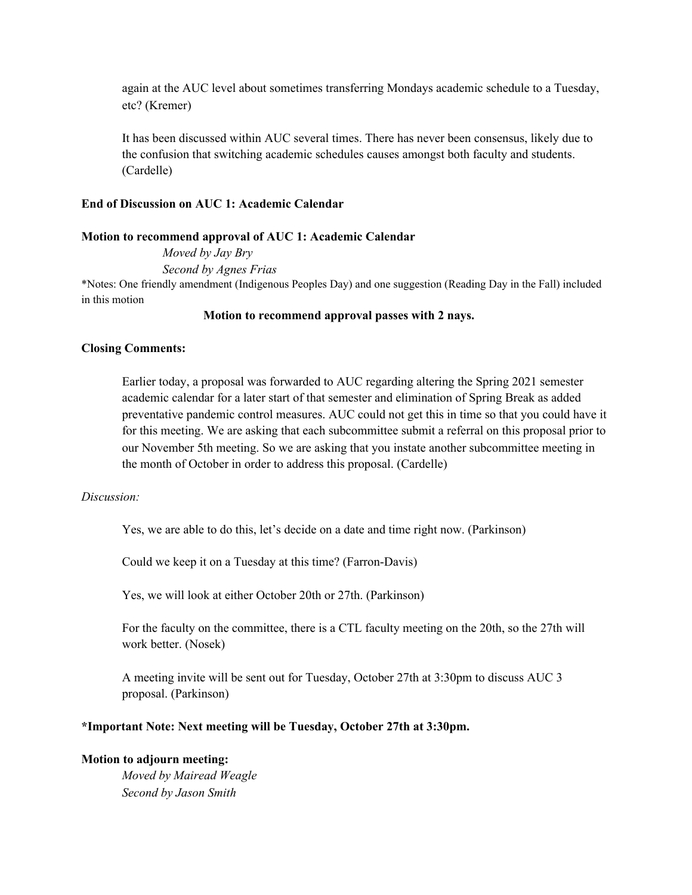again at the AUC level about sometimes transferring Mondays academic schedule to a Tuesday, etc? (Kremer)

It has been discussed within AUC several times. There has never been consensus, likely due to the confusion that switching academic schedules causes amongst both faculty and students. (Cardelle)

#### **End of Discussion on AUC 1: Academic Calendar**

#### **Motion to recommend approval of AUC 1: Academic Calendar**

*Moved by Jay Bry Second by Agnes Frias* \*Notes: One friendly amendment (Indigenous Peoples Day) and one suggestion (Reading Day in the Fall) included in this motion

#### **Motion to recommend approval passes with 2 nays.**

## **Closing Comments:**

Earlier today, a proposal was forwarded to AUC regarding altering the Spring 2021 semester academic calendar for a later start of that semester and elimination of Spring Break as added preventative pandemic control measures. AUC could not get this in time so that you could have it for this meeting. We are asking that each subcommittee submit a referral on this proposal prior to our November 5th meeting. So we are asking that you instate another subcommittee meeting in the month of October in order to address this proposal. (Cardelle)

## *Discussion:*

Yes, we are able to do this, let's decide on a date and time right now. (Parkinson)

Could we keep it on a Tuesday at this time? (Farron-Davis)

Yes, we will look at either October 20th or 27th. (Parkinson)

For the faculty on the committee, there is a CTL faculty meeting on the 20th, so the 27th will work better. (Nosek)

A meeting invite will be sent out for Tuesday, October 27th at 3:30pm to discuss AUC 3 proposal. (Parkinson)

## **\*Important Note: Next meeting will be Tuesday, October 27th at 3:30pm.**

# **Motion to adjourn meeting:**

*Moved by Mairead Weagle Second by Jason Smith*